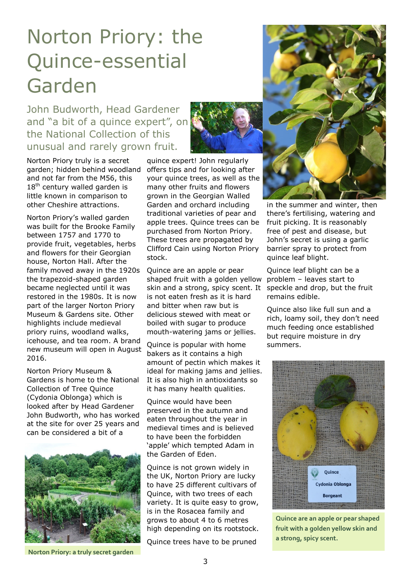## Norton Priory: the Quince-essential Garden

John Budworth, Head Gardener and "a bit of a quince expert", on the National Collection of this unusual and rarely grown fruit.

Norton Priory truly is a secret garden; hidden behind woodland and not far from the M56, this  $18<sup>th</sup>$  century walled garden is little known in comparison to other Cheshire attractions.

Norton Priory's walled garden was built for the Brooke Family between 1757 and 1770 to provide fruit, vegetables, herbs and flowers for their Georgian house, Norton Hall. After the family moved away in the 1920s the trapezoid-shaped garden became neglected until it was restored in the 1980s. It is now part of the larger Norton Priory Museum & Gardens site. Other highlights include medieval priory ruins, woodland walks, icehouse, and tea room. A brand new museum will open in August 2016.

Norton Priory Museum & Gardens is home to the National Collection of Tree Quince (Cydonia Oblonga) which is looked after by Head Gardener John Budworth, who has worked at the site for over 25 years and can be considered a bit of a



**Norton Priory: a truly secret garden**



quince expert! John regularly offers tips and for looking after your quince trees, as well as the many other fruits and flowers grown in the Georgian Walled Garden and orchard including traditional varieties of pear and apple trees. Quince trees can be purchased from Norton Priory. These trees are propagated by Clifford Cain using Norton Priory stock.

Quince are an apple or pear shaped fruit with a golden yellow skin and a strong, spicy scent. It is not eaten fresh as it is hard and bitter when raw but is delicious stewed with meat or boiled with sugar to produce mouth-watering jams or jellies.

Quince is popular with home bakers as it contains a high amount of pectin which makes it ideal for making jams and jellies. It is also high in antioxidants so it has many health qualities.

Quince would have been preserved in the autumn and eaten throughout the year in medieval times and is believed to have been the forbidden 'apple' which tempted Adam in the Garden of Eden.

Quince is not grown widely in the UK, Norton Priory are lucky to have 25 different cultivars of Quince, with two trees of each variety. It is quite easy to grow, is in the Rosacea family and grows to about 4 to 6 metres high depending on its rootstock.

Quince trees have to be pruned



in the summer and winter, then there's fertilising, watering and fruit picking. It is reasonably free of pest and disease, but John's secret is using a garlic barrier spray to protect from quince leaf blight.

Quince leaf blight can be a problem – leaves start to speckle and drop, but the fruit remains edible.

Quince also like full sun and a rich, loamy soil, they don't need much feeding once established but require moisture in dry summers.



**Quince are an apple or pear shaped fruit with a golden yellow skin and a strong, spicy scent.**